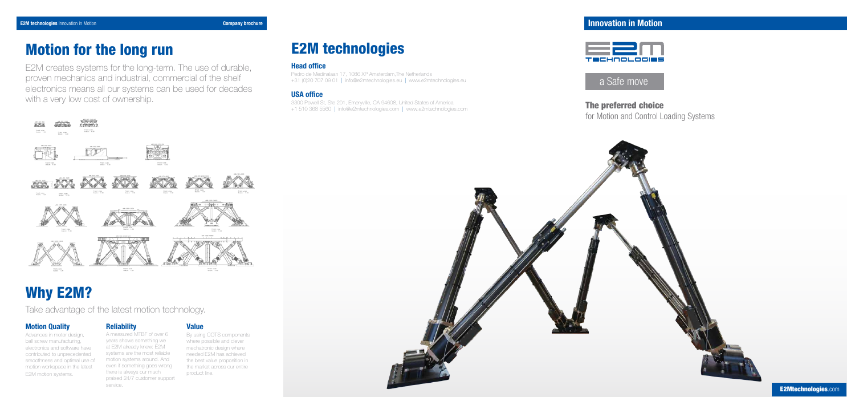# Motion Quality

Advances in motor design, ball screw manufacturing, electronics and software have contributed to unprecedented smoothness and optimal use of motion workspace in the latest E2M motion systems.

### **Reliability**

A measured MTBF of over 6 years shows something we at E2M already knew: E2M systems are the most reliable motion systems around. And even if something goes wrong there is always our much praised 24/7 customer support service.

## Value

By using COTS components where possible and clever mechatronic design where needed E2M has achieved the best value proposition in the market across our entire product line.

# Why E2M?

Take advantage of the latest motion technology.

# E2M technologies

The preferred choice for Motion and Control Loading Systems



E2M technologies Innovation in Motion **Company brochure** Company brochure **Company brochure** Innovation in Motion in Motion in Motion in Motion in Motion in Motion in Motion in Motion in Motion in Motion in Motion in Motio



### Head office

Pedro de Medinalaan 17, 1086 XP Amsterdam,The Netherlands +31 (0)20 707 09 01 | info@e2mtechnologies.eu | www.e2mtechnologies.eu

# USA office

3300 Powell St, Ste 201, Emeryville, CA 94608, United States of America +1 510 368 5560 | info@e2mtechnologies.com | www.e2mtechnologies.com



# Motion for the long run

E2M creates systems for the long-term. The use of durable, proven mechanics and industrial, commercial of the shelf electronics means all our systems can be used for decades with a very low cost of ownership.

# a Safe move